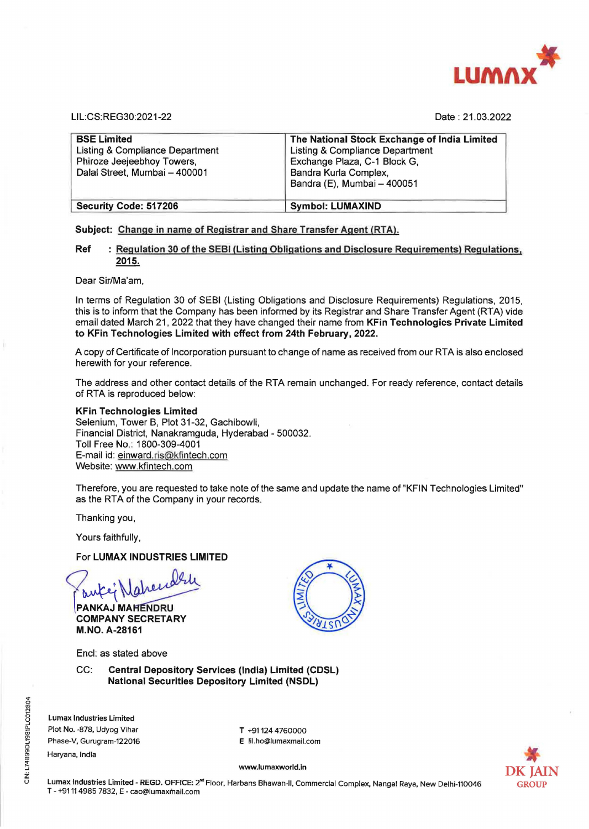

LIL:CS: REG30:2021-22 Date : 21.03.2022

| <b>BSE Limited</b><br>Listing & Compliance Department<br>Phiroze Jeejeebhoy Towers,<br>Dalal Street, Mumbai - 400001 | The National Stock Exchange of India Limited<br>Listing & Compliance Department<br>Exchange Plaza, C-1 Block G,<br>Bandra Kurla Complex,<br>Bandra (E), Mumbai - 400051 |
|----------------------------------------------------------------------------------------------------------------------|-------------------------------------------------------------------------------------------------------------------------------------------------------------------------|
| Security Code: 517206                                                                                                | <b>Symbol: LUMAXIND</b>                                                                                                                                                 |

### **Subject: Change** in **name of Registrar and Share Transfer Agent {RTA).**

## **Ref** : **Regulation 30 of the SEBI (Listing Obligations and Disclosure Requirements) Regulations, 2015.**

Dear Sir/Ma'am,

In terms of Regulation 30 of SEBI (Listing Obligations and Disclosure Requirements) Regulations, 2015, this is to inform that the Company has been informed by its Registrar and Share Transfer Agent (RTA) vide email dated March 21, 2022 that they have changed their name from **KFin Technologies Private Limited to KFin Technologies Limited with effect from 24th February, 2022.** 

A copy of Certificate of Incorporation pursuant to change of name as received from our RTA is also enclosed herewith for your reference.

The address and other contact details of the RTA remain unchanged. For ready reference, contact details of RTA is reproduced below:

#### **KFin Technologies Limited**

Selenium, Tower **B,** Plot 31-32, Gachibowli, Financial District, Nanakramguda, Hyderabad - 500032. Toll Free **No.:** 1800-309-4001 E-mail id: einward.ris@kflntech.com Website: www.kfintech.com

Therefore, you are requested to take note of the same and update the name of"KFIN Technologies Limited" as the RTA of the Company in your records.

Thanking you,

Yours faithfully,

### For **LUMAX INDUSTRIES LIMITED**

~~~ **COMPANY SECRETARY M.NO. A-28161** 

Encl: as stated above

CC: **Central Depository Services (India) Limited (CDSL) National Securities Depository Limited (NSDL)** 

Lumax Industries Limited Plot No. -878, Udyog Vihar Phase-V, Gurugram-122016

Haryana, India

T +91124 4760000 E lil.ho@lumaxmall.com



**www.lumaxworld.in** 

**Lumax Industries Limited** - **REGD.** OFFICE: 2"" Floor, Harbans Bhawan-11, Commercial Complex, Nangal Raya, New Delhi-110046 T - +9111 4985 7832, E - cao@lumaxmail.com